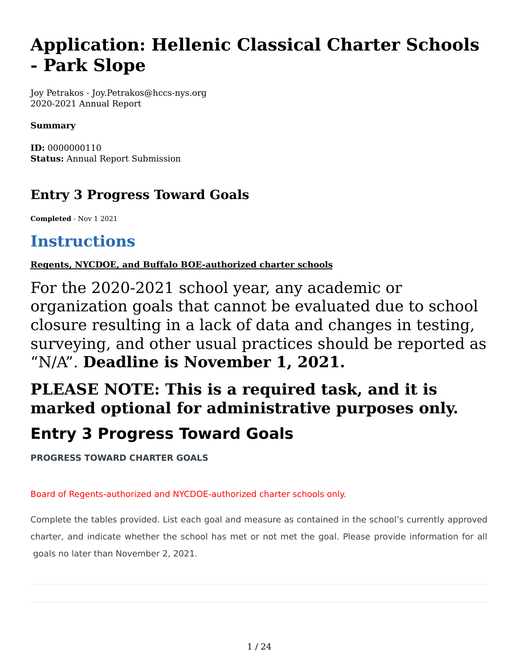# **Application: Hellenic Classical Charter Schools - Park Slope**

Joy Petrakos - Joy.Petrakos@hccs-nys.org 2020-2021 Annual Report

#### **Summary**

**ID:** 0000000110 **Status:** Annual Report Submission

# **Entry 3 Progress Toward Goals**

**Completed** - Nov 1 2021

# **Instructions**

**Regents, NYCDOE, and Buffalo BOE-authorized charter schools**

For the 2020-2021 school year, any academic or organization goals that cannot be evaluated due to school closure resulting in a lack of data and changes in testing, surveying, and other usual practices should be reported as "N/A". **Deadline is November 1, 2021.**

# **PLEASE NOTE: This is a required task, and it is marked optional for administrative purposes only. Entry 3 Progress Toward Goals**

**PROGRESS TOWARD CHARTER GOALS**

#### Board of Regents-authorized and NYCDOE-authorized charter schools only.

Complete the tables provided. List each goal and measure as contained in the school's currently approved charter, and indicate whether the school has met or not met the goal. Please provide information for all goals no later than November 2, 2021.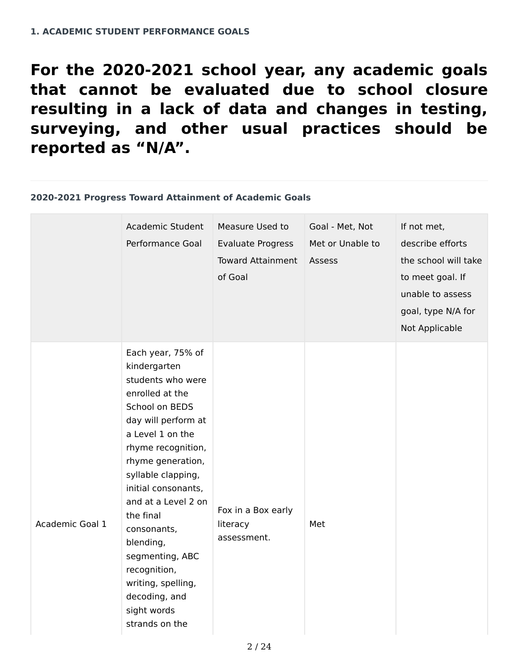**For the 2020-2021 school year, any academic goals that cannot be evaluated due to school closure resulting in a lack of data and changes in testing, surveying, and other usual practices should be reported as "N/A".**

#### **2020-2021 Progress Toward Attainment of Academic Goals**

|                 | Academic Student<br>Performance Goal                                                                                                                                                                                                                                                                                                                                                                      | Measure Used to<br><b>Evaluate Progress</b><br><b>Toward Attainment</b><br>of Goal | Goal - Met, Not<br>Met or Unable to<br>Assess | If not met,<br>describe efforts<br>the school will take<br>to meet goal. If<br>unable to assess<br>goal, type N/A for<br>Not Applicable |
|-----------------|-----------------------------------------------------------------------------------------------------------------------------------------------------------------------------------------------------------------------------------------------------------------------------------------------------------------------------------------------------------------------------------------------------------|------------------------------------------------------------------------------------|-----------------------------------------------|-----------------------------------------------------------------------------------------------------------------------------------------|
| Academic Goal 1 | Each year, 75% of<br>kindergarten<br>students who were<br>enrolled at the<br>School on BEDS<br>day will perform at<br>a Level 1 on the<br>rhyme recognition,<br>rhyme generation,<br>syllable clapping,<br>initial consonants,<br>and at a Level 2 on<br>the final<br>consonants,<br>blending,<br>segmenting, ABC<br>recognition,<br>writing, spelling,<br>decoding, and<br>sight words<br>strands on the | Fox in a Box early<br>literacy<br>assessment.                                      | Met                                           |                                                                                                                                         |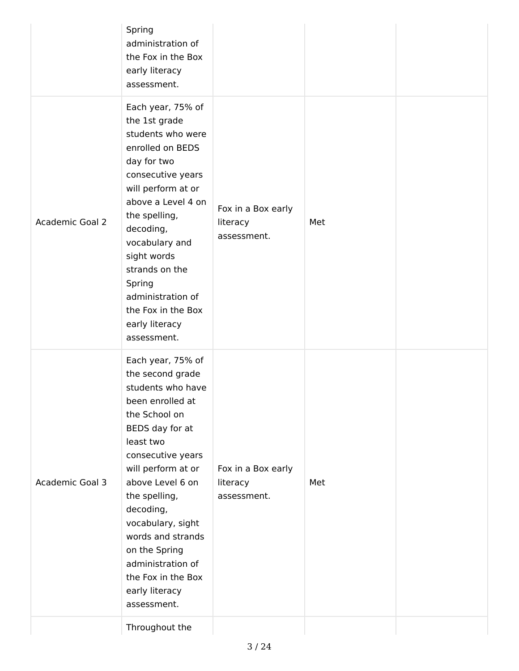| the 1st grade<br>students who were<br>enrolled on BEDS<br>day for two<br>consecutive years<br>will perform at or<br>above a Level 4 on<br>the spelling,<br>decoding,<br>vocabulary and<br>sight words<br>strands on the<br>Spring<br>administration of<br>the Fox in the Box<br>early literacy<br>assessment.                                                       | Fox in a Box early<br>literacy<br>assessment. | Met |  |
|---------------------------------------------------------------------------------------------------------------------------------------------------------------------------------------------------------------------------------------------------------------------------------------------------------------------------------------------------------------------|-----------------------------------------------|-----|--|
| Each year, 75% of<br>the second grade<br>students who have<br>been enrolled at<br>the School on<br>BEDS day for at<br>least two<br>consecutive years<br>will perform at or<br>above Level 6 on<br>the spelling,<br>decoding,<br>vocabulary, sight<br>words and strands<br>on the Spring<br>administration of<br>the Fox in the Box<br>early literacy<br>assessment. | Fox in a Box early<br>literacy<br>assessment. | Met |  |
|                                                                                                                                                                                                                                                                                                                                                                     | Each year, 75% of<br>Throughout the           |     |  |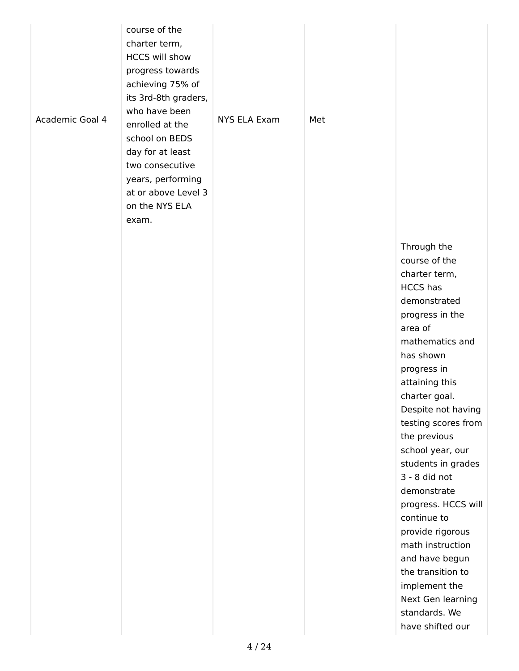| Academic Goal 4 | course of the<br>charter term,<br><b>HCCS will show</b><br>progress towards<br>achieving 75% of<br>its 3rd-8th graders,<br>who have been<br>enrolled at the<br>school on BEDS<br>day for at least<br>two consecutive<br>years, performing<br>at or above Level 3<br>on the NYS ELA<br>exam. | <b>NYS ELA Exam</b> | Met |                                                                                                                                                                                                                                                                                                                                                                                                                                                                                                                                         |
|-----------------|---------------------------------------------------------------------------------------------------------------------------------------------------------------------------------------------------------------------------------------------------------------------------------------------|---------------------|-----|-----------------------------------------------------------------------------------------------------------------------------------------------------------------------------------------------------------------------------------------------------------------------------------------------------------------------------------------------------------------------------------------------------------------------------------------------------------------------------------------------------------------------------------------|
|                 |                                                                                                                                                                                                                                                                                             |                     |     | Through the<br>course of the<br>charter term,<br><b>HCCS</b> has<br>demonstrated<br>progress in the<br>area of<br>mathematics and<br>has shown<br>progress in<br>attaining this<br>charter goal.<br>Despite not having<br>testing scores from<br>the previous<br>school year, our<br>students in grades<br>3 - 8 did not<br>demonstrate<br>progress. HCCS will<br>continue to<br>provide rigorous<br>math instruction<br>and have begun<br>the transition to<br>implement the<br>Next Gen learning<br>standards. We<br>have shifted our |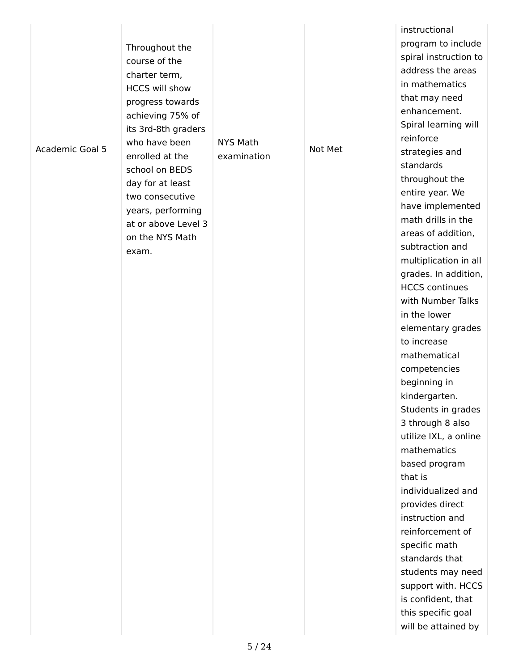| Academic Goal 5 | Throughout the<br>course of the<br>charter term,<br><b>HCCS will show</b><br>progress towards<br>achieving 75% of<br>its 3rd-8th graders<br>who have been<br>enrolled at the<br>school on BEDS<br>day for at least<br>two consecutive<br>years, performing<br>at or above Level 3<br>on the NYS Math<br>exam. | <b>NYS Math</b><br>examination | Not Met | instructional<br>program to include<br>spiral instruction to<br>address the areas<br>in mathematics<br>that may need<br>enhancement.<br>Spiral learning will<br>reinforce<br>strategies and<br>standards<br>throughout the<br>entire year. We<br>have implemented<br>math drills in the<br>areas of addition,<br>subtraction and<br>multiplication in all<br>grades. In addition,<br><b>HCCS continues</b><br>with Number Talks<br>in the lower<br>elementary grades<br>to increase<br>mathematical<br>competencies<br>beginning in<br>kindergarten.<br>Students in grades<br>3 through 8 also<br>utilize IXL, a online<br>mathematics<br>based program<br>that is<br>individualized and<br>provides direct<br>instruction and<br>reinforcement of<br>specific math<br>standards that<br>students may need<br>support with. HCCS<br>is confident, that |
|-----------------|---------------------------------------------------------------------------------------------------------------------------------------------------------------------------------------------------------------------------------------------------------------------------------------------------------------|--------------------------------|---------|--------------------------------------------------------------------------------------------------------------------------------------------------------------------------------------------------------------------------------------------------------------------------------------------------------------------------------------------------------------------------------------------------------------------------------------------------------------------------------------------------------------------------------------------------------------------------------------------------------------------------------------------------------------------------------------------------------------------------------------------------------------------------------------------------------------------------------------------------------|
|                 |                                                                                                                                                                                                                                                                                                               |                                |         | this specific goal<br>will be attained by                                                                                                                                                                                                                                                                                                                                                                                                                                                                                                                                                                                                                                                                                                                                                                                                              |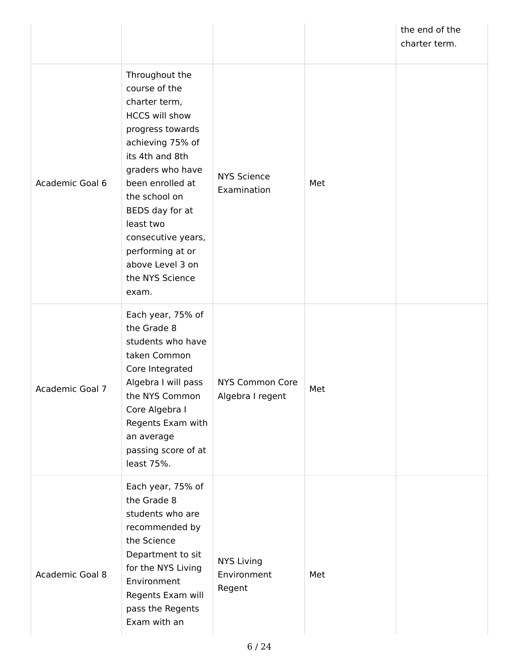|                 |                                                                                                                                                                                                                                                                                                                         |                                            |     | the end of the<br>charter term. |
|-----------------|-------------------------------------------------------------------------------------------------------------------------------------------------------------------------------------------------------------------------------------------------------------------------------------------------------------------------|--------------------------------------------|-----|---------------------------------|
| Academic Goal 6 | Throughout the<br>course of the<br>charter term,<br><b>HCCS will show</b><br>progress towards<br>achieving 75% of<br>its 4th and 8th<br>graders who have<br>been enrolled at<br>the school on<br>BEDS day for at<br>least two<br>consecutive years,<br>performing at or<br>above Level 3 on<br>the NYS Science<br>exam. | <b>NYS Science</b><br>Examination          | Met |                                 |
| Academic Goal 7 | Each year, 75% of<br>the Grade 8<br>students who have<br>taken Common<br>Core Integrated<br>Algebra I will pass<br>the NYS Common<br>Core Algebra I<br>Regents Exam with<br>an average<br>passing score of at<br>least 75%.                                                                                             | NYS Common Core<br>Algebra I regent        | Met |                                 |
| Academic Goal 8 | Each year, 75% of<br>the Grade 8<br>students who are<br>recommended by<br>the Science<br>Department to sit<br>for the NYS Living<br>Environment<br>Regents Exam will<br>pass the Regents<br>Exam with an                                                                                                                | <b>NYS Living</b><br>Environment<br>Regent | Met |                                 |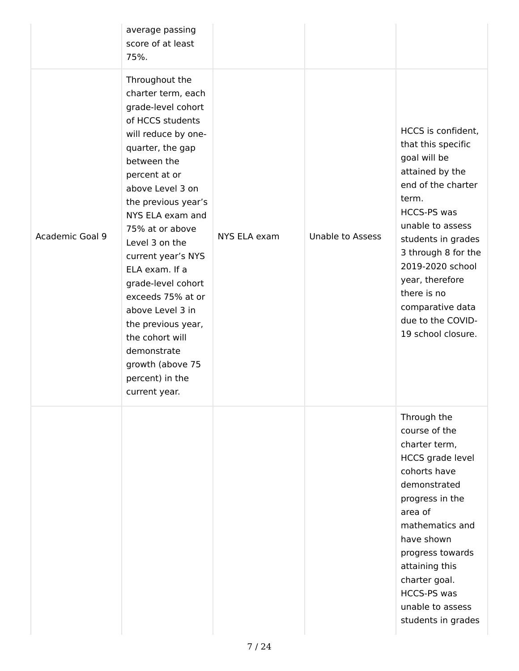|                 | average passing<br>score of at least<br>75%.                                                                                                                                                                                                                                                                                                                                                                                                                                         |              |                         |                                                                                                                                                                                                                                                                                                                        |
|-----------------|--------------------------------------------------------------------------------------------------------------------------------------------------------------------------------------------------------------------------------------------------------------------------------------------------------------------------------------------------------------------------------------------------------------------------------------------------------------------------------------|--------------|-------------------------|------------------------------------------------------------------------------------------------------------------------------------------------------------------------------------------------------------------------------------------------------------------------------------------------------------------------|
| Academic Goal 9 | Throughout the<br>charter term, each<br>grade-level cohort<br>of HCCS students<br>will reduce by one-<br>quarter, the gap<br>between the<br>percent at or<br>above Level 3 on<br>the previous year's<br>NYS ELA exam and<br>75% at or above<br>Level 3 on the<br>current year's NYS<br>ELA exam. If a<br>grade-level cohort<br>exceeds 75% at or<br>above Level 3 in<br>the previous year,<br>the cohort will<br>demonstrate<br>growth (above 75<br>percent) in the<br>current year. | NYS ELA exam | <b>Unable to Assess</b> | HCCS is confident,<br>that this specific<br>goal will be<br>attained by the<br>end of the charter<br>term.<br><b>HCCS-PS was</b><br>unable to assess<br>students in grades<br>3 through 8 for the<br>2019-2020 school<br>year, therefore<br>there is no<br>comparative data<br>due to the COVID-<br>19 school closure. |
|                 |                                                                                                                                                                                                                                                                                                                                                                                                                                                                                      |              |                         | Through the<br>course of the<br>charter term,<br><b>HCCS</b> grade level<br>cohorts have<br>demonstrated<br>progress in the<br>area of<br>mathematics and<br>have shown<br>progress towards<br>attaining this<br>charter goal.<br><b>HCCS-PS was</b><br>unable to assess<br>students in grades                         |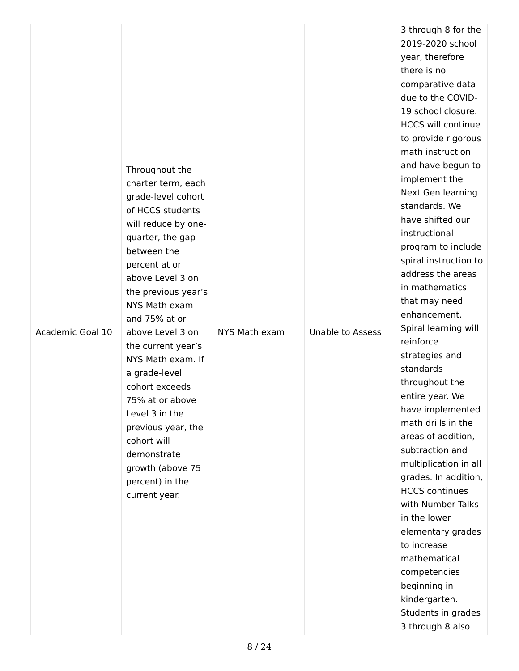| Academic Goal 10 | Throughout the<br>charter term, each<br>grade-level cohort<br>of HCCS students<br>will reduce by one-<br>quarter, the gap<br>between the<br>percent at or<br>above Level 3 on<br>the previous year's<br>NYS Math exam<br>and 75% at or<br>above Level 3 on<br>the current year's<br>NYS Math exam. If<br>a grade-level<br>cohort exceeds<br>75% at or above<br>Level 3 in the<br>previous year, the<br>cohort will<br>demonstrate<br>growth (above 75<br>percent) in the<br>current year. | NYS Math exam | <b>Unable to Assess</b> | 3 through 8 for the<br>2019-2020 school<br>year, therefore<br>there is no<br>comparative data<br>due to the COVID-<br>19 school closure.<br><b>HCCS will continue</b><br>to provide rigorous<br>math instruction<br>and have begun to<br>implement the<br>Next Gen learning<br>standards. We<br>have shifted our<br>instructional<br>program to include<br>spiral instruction to<br>address the areas<br>in mathematics<br>that may need<br>enhancement.<br>Spiral learning will<br>reinforce<br>strategies and<br>standards<br>throughout the<br>entire year. We<br>have implemented<br>math drills in the<br>areas of addition,<br>subtraction and<br>multiplication in all<br>grades. In addition,<br><b>HCCS continues</b><br>with Number Talks<br>in the lower<br>elementary grades<br>to increase<br>mathematical<br>competencies<br>beginning in<br>kindergarten.<br>Students in grades |
|------------------|-------------------------------------------------------------------------------------------------------------------------------------------------------------------------------------------------------------------------------------------------------------------------------------------------------------------------------------------------------------------------------------------------------------------------------------------------------------------------------------------|---------------|-------------------------|------------------------------------------------------------------------------------------------------------------------------------------------------------------------------------------------------------------------------------------------------------------------------------------------------------------------------------------------------------------------------------------------------------------------------------------------------------------------------------------------------------------------------------------------------------------------------------------------------------------------------------------------------------------------------------------------------------------------------------------------------------------------------------------------------------------------------------------------------------------------------------------------|
|                  |                                                                                                                                                                                                                                                                                                                                                                                                                                                                                           |               |                         | 3 through 8 also                                                                                                                                                                                                                                                                                                                                                                                                                                                                                                                                                                                                                                                                                                                                                                                                                                                                               |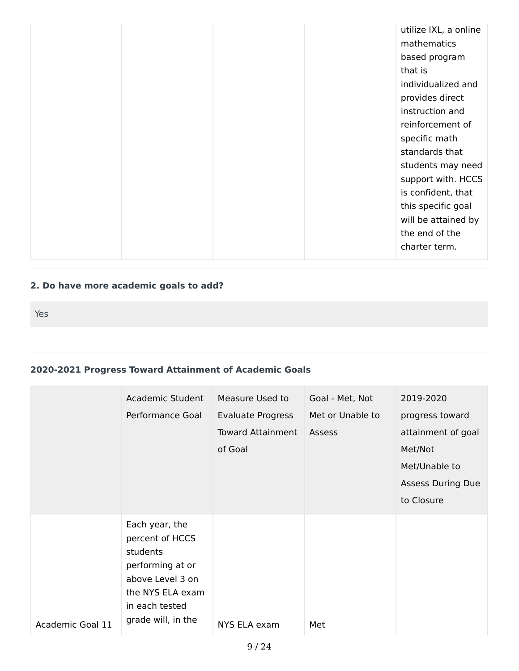|  | utilize IXL, a online<br>mathematics<br>based program |
|--|-------------------------------------------------------|
|  | that is                                               |
|  | individualized and                                    |
|  | provides direct                                       |
|  | instruction and                                       |
|  | reinforcement of                                      |
|  | specific math                                         |
|  | standards that                                        |
|  | students may need                                     |
|  | support with. HCCS                                    |
|  | is confident, that                                    |
|  | this specific goal                                    |
|  | will be attained by                                   |
|  | the end of the                                        |
|  | charter term.                                         |

## **2. Do have more academic goals to add?**

Yes

## **2020-2021 Progress Toward Attainment of Academic Goals**

|                  | Academic Student<br>Performance Goal                                                                                                              | Measure Used to<br>Evaluate Progress<br><b>Toward Attainment</b><br>of Goal | Goal - Met, Not<br>Met or Unable to<br><b>Assess</b> | 2019-2020<br>progress toward<br>attainment of goal<br>Met/Not<br>Met/Unable to<br><b>Assess During Due</b><br>to Closure |
|------------------|---------------------------------------------------------------------------------------------------------------------------------------------------|-----------------------------------------------------------------------------|------------------------------------------------------|--------------------------------------------------------------------------------------------------------------------------|
| Academic Goal 11 | Each year, the<br>percent of HCCS<br>students<br>performing at or<br>above Level 3 on<br>the NYS ELA exam<br>in each tested<br>grade will, in the | NYS ELA exam                                                                | Met                                                  |                                                                                                                          |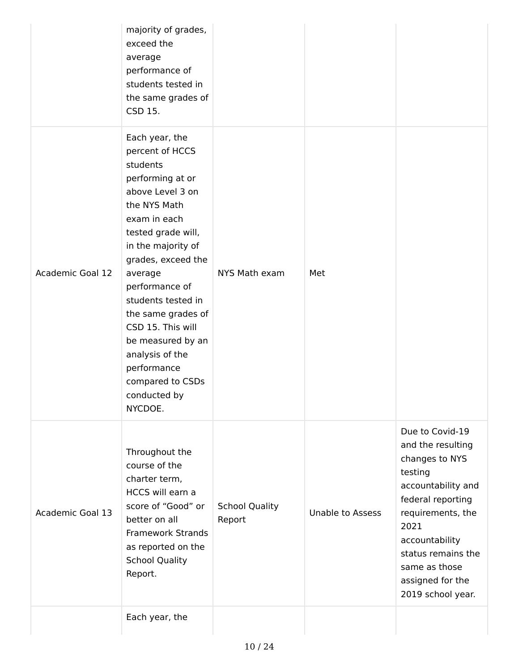|                  | majority of grades,<br>exceed the<br>average<br>performance of<br>students tested in<br>the same grades of<br>CSD 15.                                                                                                                                                                                                                                                                       |                                 |                         |                                                                                                                                                                                                                                             |
|------------------|---------------------------------------------------------------------------------------------------------------------------------------------------------------------------------------------------------------------------------------------------------------------------------------------------------------------------------------------------------------------------------------------|---------------------------------|-------------------------|---------------------------------------------------------------------------------------------------------------------------------------------------------------------------------------------------------------------------------------------|
| Academic Goal 12 | Each year, the<br>percent of HCCS<br>students<br>performing at or<br>above Level 3 on<br>the NYS Math<br>exam in each<br>tested grade will,<br>in the majority of<br>grades, exceed the<br>average<br>performance of<br>students tested in<br>the same grades of<br>CSD 15. This will<br>be measured by an<br>analysis of the<br>performance<br>compared to CSDs<br>conducted by<br>NYCDOE. | NYS Math exam                   | Met                     |                                                                                                                                                                                                                                             |
| Academic Goal 13 | Throughout the<br>course of the<br>charter term,<br>HCCS will earn a<br>score of "Good" or<br>better on all<br><b>Framework Strands</b><br>as reported on the<br><b>School Quality</b><br>Report.                                                                                                                                                                                           | <b>School Quality</b><br>Report | <b>Unable to Assess</b> | Due to Covid-19<br>and the resulting<br>changes to NYS<br>testing<br>accountability and<br>federal reporting<br>requirements, the<br>2021<br>accountability<br>status remains the<br>same as those<br>assigned for the<br>2019 school year. |
|                  | Each year, the                                                                                                                                                                                                                                                                                                                                                                              |                                 |                         |                                                                                                                                                                                                                                             |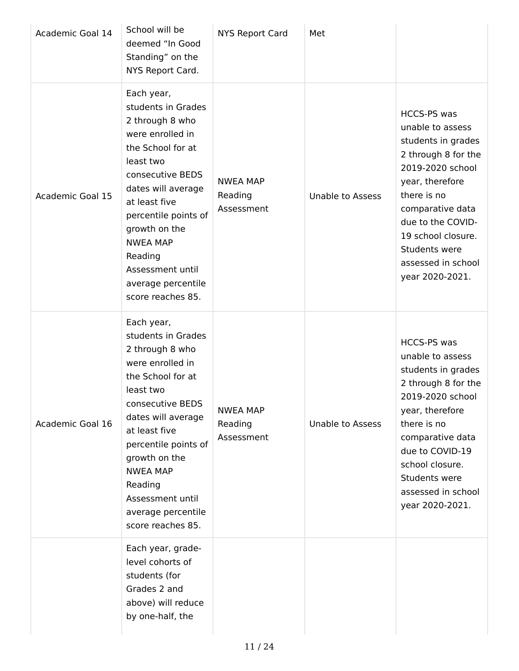| Academic Goal 14        | School will be<br>deemed "In Good<br>Standing" on the<br>NYS Report Card.                                                                                                                                                                                                                                  | <b>NYS Report Card</b>                   | Met                     |                                                                                                                                                                                                                                                                    |
|-------------------------|------------------------------------------------------------------------------------------------------------------------------------------------------------------------------------------------------------------------------------------------------------------------------------------------------------|------------------------------------------|-------------------------|--------------------------------------------------------------------------------------------------------------------------------------------------------------------------------------------------------------------------------------------------------------------|
| <b>Academic Goal 15</b> | Each year,<br>students in Grades<br>2 through 8 who<br>were enrolled in<br>the School for at<br>least two<br>consecutive BEDS<br>dates will average<br>at least five<br>percentile points of<br>growth on the<br><b>NWEA MAP</b><br>Reading<br>Assessment until<br>average percentile<br>score reaches 85. | <b>NWEA MAP</b><br>Reading<br>Assessment | <b>Unable to Assess</b> | <b>HCCS-PS was</b><br>unable to assess<br>students in grades<br>2 through 8 for the<br>2019-2020 school<br>year, therefore<br>there is no<br>comparative data<br>due to the COVID-<br>19 school closure.<br>Students were<br>assessed in school<br>year 2020-2021. |
| Academic Goal 16        | Each year,<br>students in Grades<br>2 through 8 who<br>were enrolled in<br>the School for at<br>least two<br>consecutive BEDS<br>dates will average<br>at least five<br>percentile points of<br>growth on the<br><b>NWEA MAP</b><br>Reading<br>Assessment until<br>average percentile<br>score reaches 85. | <b>NWEA MAP</b><br>Reading<br>Assessment | <b>Unable to Assess</b> | <b>HCCS-PS was</b><br>unable to assess<br>students in grades<br>2 through 8 for the<br>2019-2020 school<br>year, therefore<br>there is no<br>comparative data<br>due to COVID-19<br>school closure.<br>Students were<br>assessed in school<br>year 2020-2021.      |
|                         | Each year, grade-<br>level cohorts of<br>students (for<br>Grades 2 and<br>above) will reduce<br>by one-half, the                                                                                                                                                                                           |                                          |                         |                                                                                                                                                                                                                                                                    |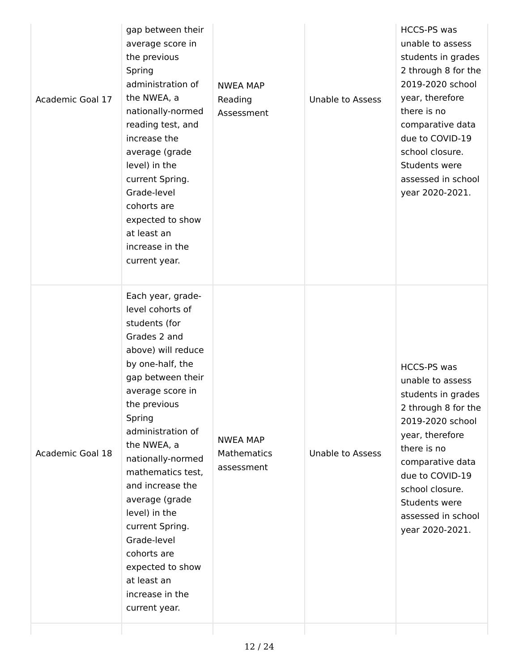| Academic Goal 17 | increase the<br>average (grade<br>level) in the<br>current Spring.<br>Grade-level<br>cohorts are<br>expected to show<br>at least an<br>increase in the<br>current year.                                                                                                                                                                                                                                                                          |                                              |                         | comparative data<br>due to COVID-19<br>school closure.<br>Students were<br>assessed in school<br>year 2020-2021.                                                                                                                                              |
|------------------|--------------------------------------------------------------------------------------------------------------------------------------------------------------------------------------------------------------------------------------------------------------------------------------------------------------------------------------------------------------------------------------------------------------------------------------------------|----------------------------------------------|-------------------------|---------------------------------------------------------------------------------------------------------------------------------------------------------------------------------------------------------------------------------------------------------------|
| Academic Goal 18 | Each year, grade-<br>level cohorts of<br>students (for<br>Grades 2 and<br>above) will reduce<br>by one-half, the<br>gap between their<br>average score in<br>the previous<br>Spring<br>administration of<br>the NWEA, a<br>nationally-normed<br>mathematics test,<br>and increase the<br>average (grade<br>level) in the<br>current Spring.<br>Grade-level<br>cohorts are<br>expected to show<br>at least an<br>increase in the<br>current year. | <b>NWEA MAP</b><br>Mathematics<br>assessment | <b>Unable to Assess</b> | <b>HCCS-PS was</b><br>unable to assess<br>students in grades<br>2 through 8 for the<br>2019-2020 school<br>year, therefore<br>there is no<br>comparative data<br>due to COVID-19<br>school closure.<br>Students were<br>assessed in school<br>year 2020-2021. |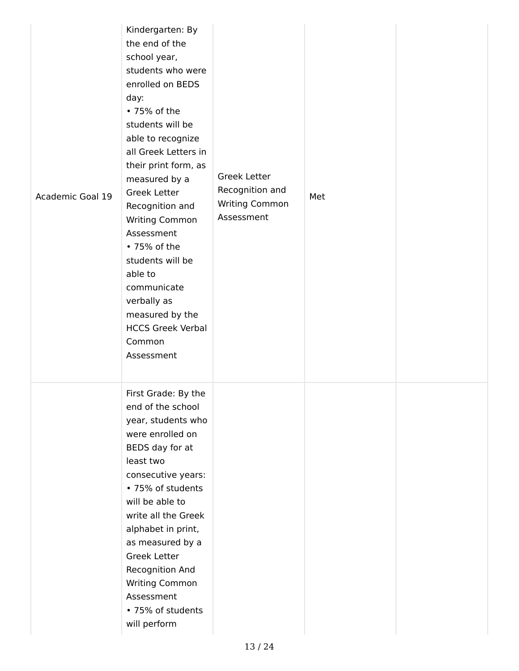| Academic Goal 19 | Kindergarten: By<br>the end of the<br>school year,<br>students who were<br>enrolled on BEDS<br>day:<br>• 75% of the<br>students will be<br>able to recognize<br>all Greek Letters in<br>their print form, as<br>measured by a<br><b>Greek Letter</b><br>Recognition and<br>Writing Common<br>Assessment<br>• 75% of the<br>students will be<br>able to<br>communicate<br>verbally as<br>measured by the<br><b>HCCS Greek Verbal</b><br>Common<br>Assessment | <b>Greek Letter</b><br>Recognition and<br>Writing Common<br>Assessment | Met |  |
|------------------|-------------------------------------------------------------------------------------------------------------------------------------------------------------------------------------------------------------------------------------------------------------------------------------------------------------------------------------------------------------------------------------------------------------------------------------------------------------|------------------------------------------------------------------------|-----|--|
|                  | First Grade: By the<br>end of the school<br>year, students who<br>were enrolled on<br>BEDS day for at<br>least two<br>consecutive years:<br>• 75% of students<br>will be able to<br>write all the Greek<br>alphabet in print,<br>as measured by a<br><b>Greek Letter</b><br>Recognition And<br>Writing Common<br>Assessment<br>• 75% of students<br>will perform                                                                                            |                                                                        |     |  |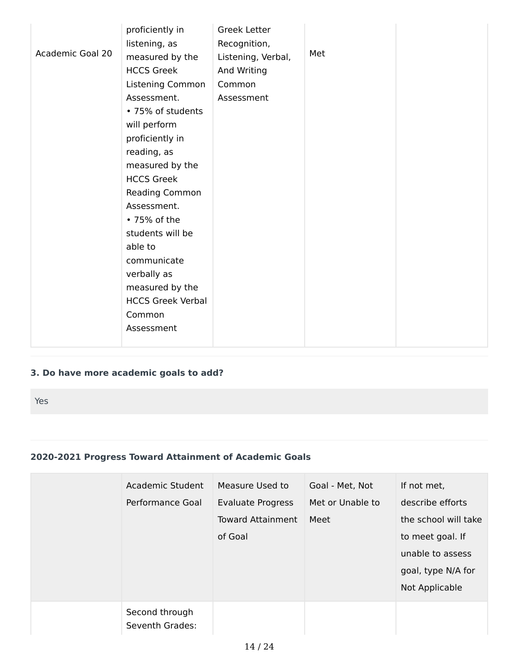|                         | proficiently in          | <b>Greek Letter</b> |     |  |
|-------------------------|--------------------------|---------------------|-----|--|
|                         | listening, as            | Recognition,        |     |  |
| <b>Academic Goal 20</b> | measured by the          | Listening, Verbal,  | Met |  |
|                         | <b>HCCS Greek</b>        | And Writing         |     |  |
|                         | Listening Common         | Common              |     |  |
|                         | Assessment.              | Assessment          |     |  |
|                         | • 75% of students        |                     |     |  |
|                         | will perform             |                     |     |  |
|                         | proficiently in          |                     |     |  |
|                         | reading, as              |                     |     |  |
|                         | measured by the          |                     |     |  |
|                         | <b>HCCS Greek</b>        |                     |     |  |
|                         | Reading Common           |                     |     |  |
|                         | Assessment.              |                     |     |  |
|                         | • 75% of the             |                     |     |  |
|                         | students will be         |                     |     |  |
|                         | able to                  |                     |     |  |
|                         | communicate              |                     |     |  |
|                         | verbally as              |                     |     |  |
|                         | measured by the          |                     |     |  |
|                         | <b>HCCS Greek Verbal</b> |                     |     |  |
|                         | Common                   |                     |     |  |
|                         | Assessment               |                     |     |  |
|                         |                          |                     |     |  |

## **3. Do have more academic goals to add?**

Yes

#### **2020-2021 Progress Toward Attainment of Academic Goals**

| Academic Student<br>Performance Goal | Measure Used to<br><b>Evaluate Progress</b><br><b>Toward Attainment</b><br>of Goal | Goal - Met, Not<br>Met or Unable to<br>Meet | If not met,<br>describe efforts<br>the school will take<br>to meet goal. If<br>unable to assess<br>goal, type N/A for<br>Not Applicable |
|--------------------------------------|------------------------------------------------------------------------------------|---------------------------------------------|-----------------------------------------------------------------------------------------------------------------------------------------|
| Second through<br>Seventh Grades:    |                                                                                    |                                             |                                                                                                                                         |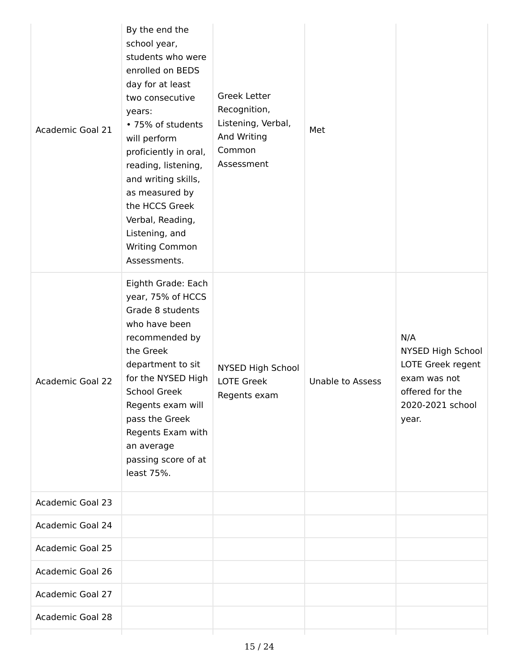| Academic Goal 21        | By the end the<br>school year,<br>students who were<br>enrolled on BEDS<br>day for at least<br>two consecutive<br>years:<br>• 75% of students<br>will perform<br>proficiently in oral,<br>reading, listening,<br>and writing skills,<br>as measured by<br>the HCCS Greek<br>Verbal, Reading,<br>Listening, and<br><b>Writing Common</b><br>Assessments. | <b>Greek Letter</b><br>Recognition,<br>Listening, Verbal,<br>And Writing<br>Common<br>Assessment | Met                     |                                                                                                               |
|-------------------------|---------------------------------------------------------------------------------------------------------------------------------------------------------------------------------------------------------------------------------------------------------------------------------------------------------------------------------------------------------|--------------------------------------------------------------------------------------------------|-------------------------|---------------------------------------------------------------------------------------------------------------|
| <b>Academic Goal 22</b> | Eighth Grade: Each<br>year, 75% of HCCS<br>Grade 8 students<br>who have been<br>recommended by<br>the Greek<br>department to sit<br>for the NYSED High<br><b>School Greek</b><br>Regents exam will<br>pass the Greek<br>Regents Exam with<br>an average<br>passing score of at<br>least 75%.                                                            | NYSED High School<br><b>LOTE Greek</b><br>Regents exam                                           | <b>Unable to Assess</b> | N/A<br>NYSED High School<br>LOTE Greek regent<br>exam was not<br>offered for the<br>2020-2021 school<br>year. |
| <b>Academic Goal 23</b> |                                                                                                                                                                                                                                                                                                                                                         |                                                                                                  |                         |                                                                                                               |
| Academic Goal 24        |                                                                                                                                                                                                                                                                                                                                                         |                                                                                                  |                         |                                                                                                               |
| <b>Academic Goal 25</b> |                                                                                                                                                                                                                                                                                                                                                         |                                                                                                  |                         |                                                                                                               |
| Academic Goal 26        |                                                                                                                                                                                                                                                                                                                                                         |                                                                                                  |                         |                                                                                                               |
| <b>Academic Goal 27</b> |                                                                                                                                                                                                                                                                                                                                                         |                                                                                                  |                         |                                                                                                               |
| <b>Academic Goal 28</b> |                                                                                                                                                                                                                                                                                                                                                         |                                                                                                  |                         |                                                                                                               |
|                         |                                                                                                                                                                                                                                                                                                                                                         |                                                                                                  |                         |                                                                                                               |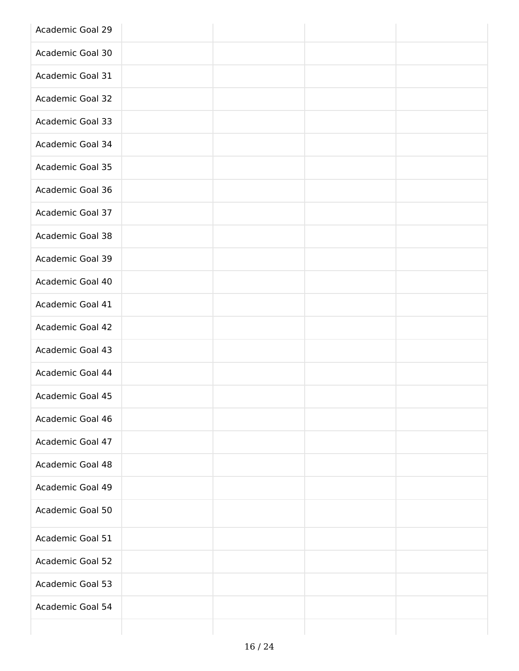| Academic Goal 29        |  |  |
|-------------------------|--|--|
| Academic Goal 30        |  |  |
| Academic Goal 31        |  |  |
| Academic Goal 32        |  |  |
| Academic Goal 33        |  |  |
| Academic Goal 34        |  |  |
| Academic Goal 35        |  |  |
| Academic Goal 36        |  |  |
| Academic Goal 37        |  |  |
| <b>Academic Goal 38</b> |  |  |
| Academic Goal 39        |  |  |
| Academic Goal 40        |  |  |
| Academic Goal 41        |  |  |
| Academic Goal 42        |  |  |
| Academic Goal 43        |  |  |
| Academic Goal 44        |  |  |
| Academic Goal 45        |  |  |
| Academic Goal 46        |  |  |
| Academic Goal 47        |  |  |
| Academic Goal 48        |  |  |
| Academic Goal 49        |  |  |
| Academic Goal 50        |  |  |
| Academic Goal 51        |  |  |
| <b>Academic Goal 52</b> |  |  |
| Academic Goal 53        |  |  |
| Academic Goal 54        |  |  |
|                         |  |  |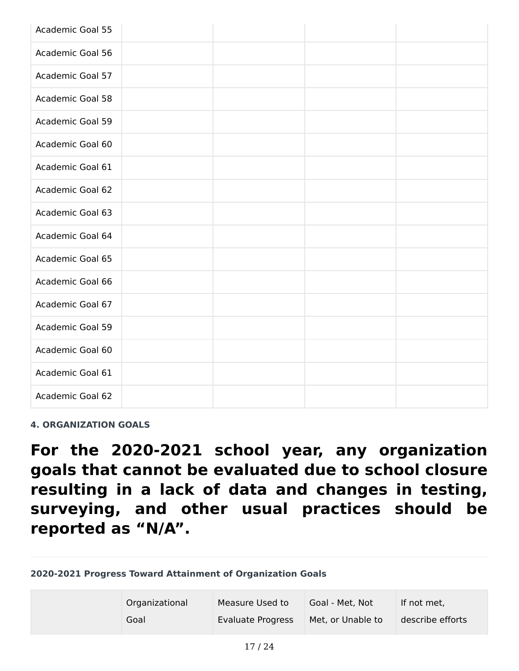| <b>Academic Goal 55</b> |  |  |
|-------------------------|--|--|
| <b>Academic Goal 56</b> |  |  |
| Academic Goal 57        |  |  |
| Academic Goal 58        |  |  |
| <b>Academic Goal 59</b> |  |  |
| Academic Goal 60        |  |  |
| Academic Goal 61        |  |  |
| Academic Goal 62        |  |  |
| Academic Goal 63        |  |  |
| Academic Goal 64        |  |  |
| Academic Goal 65        |  |  |
| Academic Goal 66        |  |  |
| Academic Goal 67        |  |  |
| Academic Goal 59        |  |  |
| Academic Goal 60        |  |  |
| Academic Goal 61        |  |  |
| Academic Goal 62        |  |  |

**4. ORGANIZATION GOALS**

**For the 2020-2021 school year, any organization goals that cannot be evaluated due to school closure resulting in a lack of data and changes in testing, surveying, and other usual practices should be reported as "N/A".**

**2020-2021 Progress Toward Attainment of Organization Goals**

| Organizational | Measure Used to   | Goal - Met, Not   | If not met.      |
|----------------|-------------------|-------------------|------------------|
| Goal           | Evaluate Progress | Met, or Unable to | describe efforts |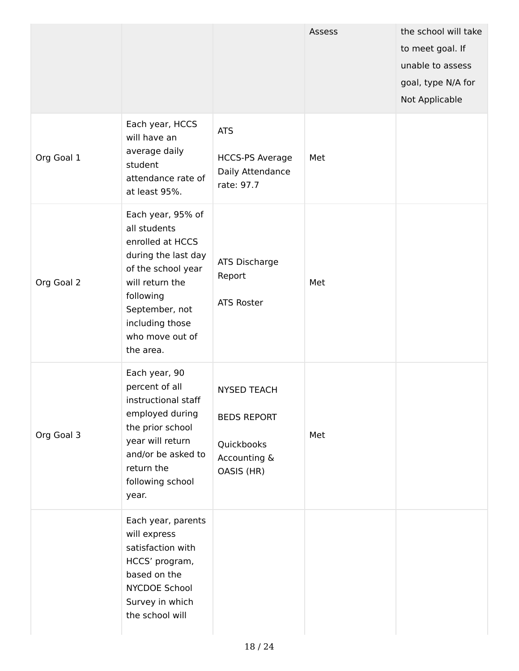|            |                                                                                                                                                                                                         |                                                                                      | Assess | the school will take<br>to meet goal. If<br>unable to assess<br>goal, type N/A for<br>Not Applicable |
|------------|---------------------------------------------------------------------------------------------------------------------------------------------------------------------------------------------------------|--------------------------------------------------------------------------------------|--------|------------------------------------------------------------------------------------------------------|
| Org Goal 1 | Each year, HCCS<br>will have an<br>average daily<br>student<br>attendance rate of<br>at least 95%.                                                                                                      | <b>ATS</b><br><b>HCCS-PS Average</b><br>Daily Attendance<br>rate: 97.7               | Met    |                                                                                                      |
| Org Goal 2 | Each year, 95% of<br>all students<br>enrolled at HCCS<br>during the last day<br>of the school year<br>will return the<br>following<br>September, not<br>including those<br>who move out of<br>the area. | ATS Discharge<br>Report<br><b>ATS Roster</b>                                         | Met    |                                                                                                      |
| Org Goal 3 | Each year, 90<br>percent of all<br>instructional staff<br>employed during<br>the prior school<br>year will return<br>and/or be asked to<br>return the<br>following school<br>year.                      | <b>NYSED TEACH</b><br><b>BEDS REPORT</b><br>Quickbooks<br>Accounting &<br>OASIS (HR) | Met    |                                                                                                      |
|            | Each year, parents<br>will express<br>satisfaction with<br>HCCS' program,<br>based on the<br>NYCDOE School<br>Survey in which<br>the school will                                                        |                                                                                      |        |                                                                                                      |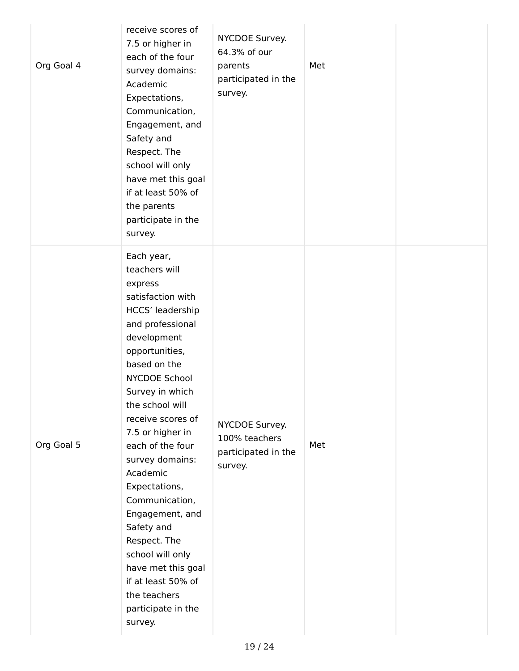| Org Goal 4 | receive scores of<br>7.5 or higher in<br>each of the four<br>survey domains:<br>Academic<br>Expectations,<br>Communication,<br>Engagement, and<br>Safety and<br>Respect. The<br>school will only<br>have met this goal<br>if at least 50% of<br>the parents<br>participate in the<br>survey.                                                                                                                                                                                                                 | NYCDOE Survey.<br>64.3% of our<br>parents<br>participated in the<br>survey. | Met |  |
|------------|--------------------------------------------------------------------------------------------------------------------------------------------------------------------------------------------------------------------------------------------------------------------------------------------------------------------------------------------------------------------------------------------------------------------------------------------------------------------------------------------------------------|-----------------------------------------------------------------------------|-----|--|
| Org Goal 5 | Each year,<br>teachers will<br>express<br>satisfaction with<br>HCCS' leadership<br>and professional<br>development<br>opportunities,<br>based on the<br>NYCDOE School<br>Survey in which<br>the school will<br>receive scores of<br>7.5 or higher in<br>each of the four<br>survey domains:<br>Academic<br>Expectations,<br>Communication,<br>Engagement, and<br>Safety and<br>Respect. The<br>school will only<br>have met this goal<br>if at least 50% of<br>the teachers<br>participate in the<br>survey. | NYCDOE Survey.<br>100% teachers<br>participated in the<br>survey.           | Met |  |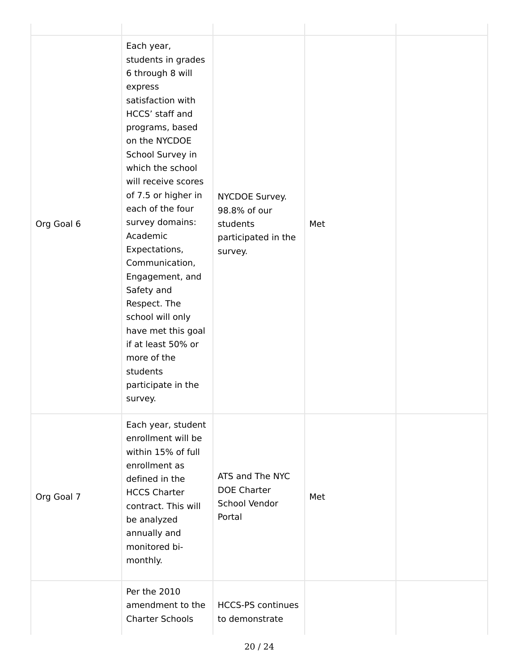| Org Goal 6 | Each year,<br>students in grades<br>6 through 8 will<br>express<br>satisfaction with<br>HCCS' staff and<br>programs, based<br>on the NYCDOE<br>School Survey in<br>which the school<br>will receive scores<br>of 7.5 or higher in<br>each of the four<br>survey domains:<br>Academic<br>Expectations,<br>Communication,<br>Engagement, and<br>Safety and<br>Respect. The<br>school will only<br>have met this goal<br>if at least 50% or<br>more of the<br>students<br>participate in the<br>survey. | NYCDOE Survey.<br>98.8% of our<br>students<br>participated in the<br>survey. | Met |  |
|------------|------------------------------------------------------------------------------------------------------------------------------------------------------------------------------------------------------------------------------------------------------------------------------------------------------------------------------------------------------------------------------------------------------------------------------------------------------------------------------------------------------|------------------------------------------------------------------------------|-----|--|
| Org Goal 7 | Each year, student<br>enrollment will be<br>within 15% of full<br>enrollment as<br>defined in the<br><b>HCCS Charter</b><br>contract. This will<br>be analyzed<br>annually and<br>monitored bi-<br>monthly.                                                                                                                                                                                                                                                                                          | ATS and The NYC<br><b>DOE Charter</b><br>School Vendor<br>Portal             | Met |  |
|            | Per the 2010<br>amendment to the<br><b>Charter Schools</b>                                                                                                                                                                                                                                                                                                                                                                                                                                           | <b>HCCS-PS continues</b><br>to demonstrate                                   |     |  |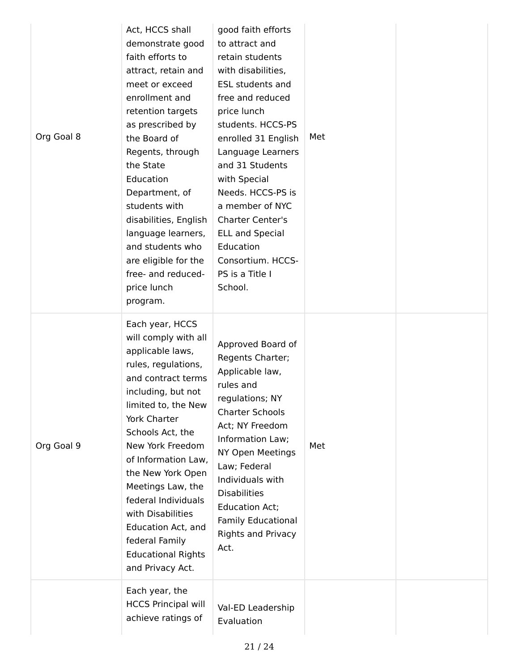| Org Goal 8 | Act, HCCS shall<br>demonstrate good<br>faith efforts to<br>attract, retain and<br>meet or exceed<br>enrollment and<br>retention targets<br>as prescribed by<br>the Board of<br>Regents, through<br>the State<br>Education<br>Department, of<br>students with<br>disabilities, English<br>language learners,<br>and students who<br>are eligible for the<br>free- and reduced-<br>price lunch<br>program.            | good faith efforts<br>to attract and<br>retain students<br>with disabilities,<br><b>ESL students and</b><br>free and reduced<br>price lunch<br>students. HCCS-PS<br>enrolled 31 English<br>Language Learners<br>and 31 Students<br>with Special<br>Needs. HCCS-PS is<br>a member of NYC<br><b>Charter Center's</b><br><b>ELL and Special</b><br>Education<br>Consortium. HCCS-<br>PS is a Title I<br>School. | Met |  |
|------------|---------------------------------------------------------------------------------------------------------------------------------------------------------------------------------------------------------------------------------------------------------------------------------------------------------------------------------------------------------------------------------------------------------------------|--------------------------------------------------------------------------------------------------------------------------------------------------------------------------------------------------------------------------------------------------------------------------------------------------------------------------------------------------------------------------------------------------------------|-----|--|
| Org Goal 9 | Each year, HCCS<br>will comply with all<br>applicable laws,<br>rules, regulations,<br>and contract terms<br>including, but not<br>limited to, the New<br>York Charter<br>Schools Act, the<br>New York Freedom<br>of Information Law,<br>the New York Open<br>Meetings Law, the<br>federal Individuals<br>with Disabilities<br>Education Act, and<br>federal Family<br><b>Educational Rights</b><br>and Privacy Act. | Approved Board of<br>Regents Charter;<br>Applicable law,<br>rules and<br>regulations; NY<br><b>Charter Schools</b><br>Act; NY Freedom<br>Information Law;<br>NY Open Meetings<br>Law; Federal<br>Individuals with<br><b>Disabilities</b><br><b>Education Act;</b><br><b>Family Educational</b><br><b>Rights and Privacy</b><br>Act.                                                                          | Met |  |
|            | Each year, the<br><b>HCCS Principal will</b><br>achieve ratings of                                                                                                                                                                                                                                                                                                                                                  | Val-ED Leadership<br>Evaluation                                                                                                                                                                                                                                                                                                                                                                              |     |  |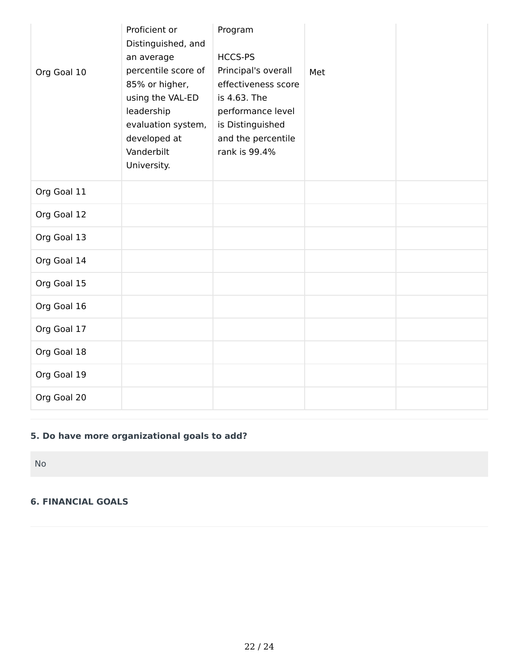| Org Goal 10 | Proficient or<br>Distinguished, and<br>an average<br>percentile score of<br>85% or higher,<br>using the VAL-ED<br>leadership<br>evaluation system,<br>developed at<br>Vanderbilt<br>University. | Program<br>HCCS-PS<br>Principal's overall<br>effectiveness score<br>is 4.63. The<br>performance level<br>is Distinguished<br>and the percentile<br>rank is 99.4% | Met |  |
|-------------|-------------------------------------------------------------------------------------------------------------------------------------------------------------------------------------------------|------------------------------------------------------------------------------------------------------------------------------------------------------------------|-----|--|
| Org Goal 11 |                                                                                                                                                                                                 |                                                                                                                                                                  |     |  |
| Org Goal 12 |                                                                                                                                                                                                 |                                                                                                                                                                  |     |  |
| Org Goal 13 |                                                                                                                                                                                                 |                                                                                                                                                                  |     |  |
| Org Goal 14 |                                                                                                                                                                                                 |                                                                                                                                                                  |     |  |
| Org Goal 15 |                                                                                                                                                                                                 |                                                                                                                                                                  |     |  |
| Org Goal 16 |                                                                                                                                                                                                 |                                                                                                                                                                  |     |  |
| Org Goal 17 |                                                                                                                                                                                                 |                                                                                                                                                                  |     |  |
| Org Goal 18 |                                                                                                                                                                                                 |                                                                                                                                                                  |     |  |
| Org Goal 19 |                                                                                                                                                                                                 |                                                                                                                                                                  |     |  |
| Org Goal 20 |                                                                                                                                                                                                 |                                                                                                                                                                  |     |  |

## **5. Do have more organizational goals to add?**

No

#### **6. FINANCIAL GOALS**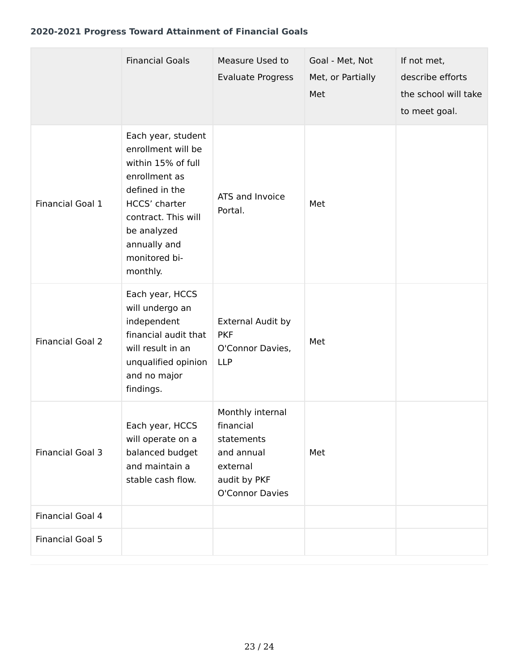#### **2020-2021 Progress Toward Attainment of Financial Goals**

|                         | <b>Financial Goals</b>                                                                                                                                                                                | Measure Used to<br><b>Evaluate Progress</b>                                                              | Goal - Met, Not<br>Met, or Partially<br>Met | If not met,<br>describe efforts<br>the school will take<br>to meet goal. |
|-------------------------|-------------------------------------------------------------------------------------------------------------------------------------------------------------------------------------------------------|----------------------------------------------------------------------------------------------------------|---------------------------------------------|--------------------------------------------------------------------------|
| Financial Goal 1        | Each year, student<br>enrollment will be<br>within 15% of full<br>enrollment as<br>defined in the<br>HCCS' charter<br>contract. This will<br>be analyzed<br>annually and<br>monitored bi-<br>monthly. | ATS and Invoice<br>Portal.                                                                               | Met                                         |                                                                          |
| <b>Financial Goal 2</b> | Each year, HCCS<br>will undergo an<br>independent<br>financial audit that<br>will result in an<br>unqualified opinion<br>and no major<br>findings.                                                    | External Audit by<br><b>PKF</b><br>O'Connor Davies,<br><b>LLP</b>                                        | Met                                         |                                                                          |
| <b>Financial Goal 3</b> | Each year, HCCS<br>will operate on a<br>balanced budget<br>and maintain a<br>stable cash flow.                                                                                                        | Monthly internal<br>financial<br>statements<br>and annual<br>external<br>audit by PKF<br>O'Connor Davies | Met                                         |                                                                          |
| Financial Goal 4        |                                                                                                                                                                                                       |                                                                                                          |                                             |                                                                          |
| <b>Financial Goal 5</b> |                                                                                                                                                                                                       |                                                                                                          |                                             |                                                                          |